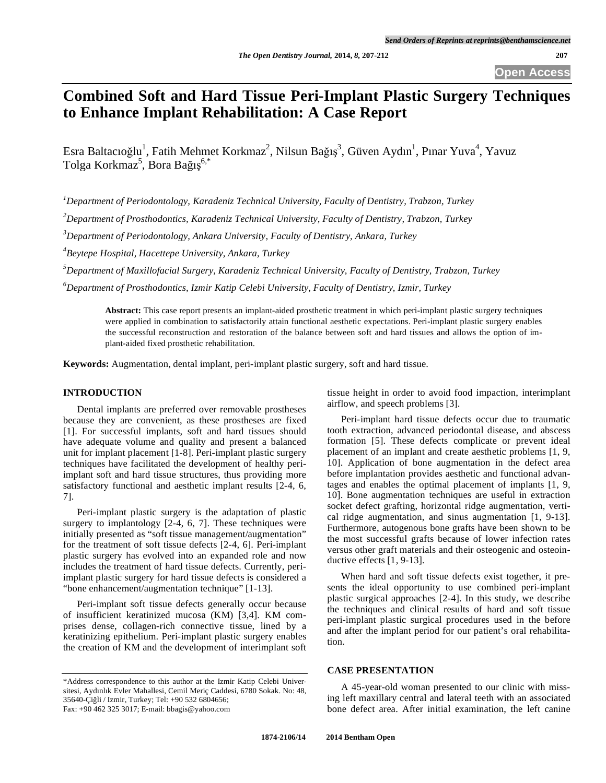# **Combined Soft and Hard Tissue Peri-Implant Plastic Surgery Techniques to Enhance Implant Rehabilitation: A Case Report**

Esra Baltacıoğlu<sup>1</sup>, Fatih Mehmet Korkmaz<sup>2</sup>, Nilsun Bağış<sup>3</sup>, Güven Aydın<sup>1</sup>, Pınar Yuva<sup>4</sup>, Yavuz Tolga Korkmaz<sup>5</sup>, Bora Bağış<sup>6,\*</sup>

*1 Department of Periodontology, Karadeniz Technical University, Faculty of Dentistry, Trabzon, Turkey* 

*2 Department of Prosthodontics, Karadeniz Technical University, Faculty of Dentistry, Trabzon, Turkey* 

*3 Department of Periodontology, Ankara University, Faculty of Dentistry, Ankara, Turkey* 

*4 Beytepe Hospital, Hacettepe University, Ankara, Turkey* 

*5 Department of Maxillofacial Surgery, Karadeniz Technical University, Faculty of Dentistry, Trabzon, Turkey* 

*6 Department of Prosthodontics, Izmir Katip Celebi University, Faculty of Dentistry, Izmir, Turkey* 

**Abstract:** This case report presents an implant-aided prosthetic treatment in which peri-implant plastic surgery techniques were applied in combination to satisfactorily attain functional aesthetic expectations. Peri-implant plastic surgery enables the successful reconstruction and restoration of the balance between soft and hard tissues and allows the option of implant-aided fixed prosthetic rehabilitation.

**Keywords:** Augmentation, dental implant, peri-implant plastic surgery, soft and hard tissue.

## **INTRODUCTION**

Dental implants are preferred over removable prostheses because they are convenient, as these prostheses are fixed [1]. For successful implants, soft and hard tissues should have adequate volume and quality and present a balanced unit for implant placement [1-8]. Peri-implant plastic surgery techniques have facilitated the development of healthy periimplant soft and hard tissue structures, thus providing more satisfactory functional and aesthetic implant results [2-4, 6, 7].

Peri-implant plastic surgery is the adaptation of plastic surgery to implantology [2-4, 6, 7]. These techniques were initially presented as "soft tissue management/augmentation" for the treatment of soft tissue defects [2-4, 6]. Peri-implant plastic surgery has evolved into an expanded role and now includes the treatment of hard tissue defects. Currently, periimplant plastic surgery for hard tissue defects is considered a "bone enhancement/augmentation technique" [1-13].

Peri-implant soft tissue defects generally occur because of insufficient keratinized mucosa (KM) [3,4]. KM comprises dense, collagen-rich connective tissue, lined by a keratinizing epithelium. Peri-implant plastic surgery enables the creation of KM and the development of interimplant soft

\*Address correspondence to this author at the Izmir Katip Celebi Universitesi, Aydınlık Evler Mahallesi, Cemil Meriç Caddesi, 6780 Sokak. No: 48, 35640-Çiğli / Izmir, Turkey; Tel: +90 532 6804656;

Fax: +90 462 325 3017; E-mail: bbagis@yahoo.com

tissue height in order to avoid food impaction, interimplant airflow, and speech problems [3].

Peri-implant hard tissue defects occur due to traumatic tooth extraction, advanced periodontal disease, and abscess formation [5]. These defects complicate or prevent ideal placement of an implant and create aesthetic problems [1, 9, 10]. Application of bone augmentation in the defect area before implantation provides aesthetic and functional advantages and enables the optimal placement of implants [1, 9, 10]. Bone augmentation techniques are useful in extraction socket defect grafting, horizontal ridge augmentation, vertical ridge augmentation, and sinus augmentation [1, 9-13]. Furthermore, autogenous bone grafts have been shown to be the most successful grafts because of lower infection rates versus other graft materials and their osteogenic and osteoinductive effects [1, 9-13].

When hard and soft tissue defects exist together, it presents the ideal opportunity to use combined peri-implant plastic surgical approaches [2-4]. In this study, we describe the techniques and clinical results of hard and soft tissue peri-implant plastic surgical procedures used in the before and after the implant period for our patient's oral rehabilitation.

### **CASE PRESENTATION**

A 45-year-old woman presented to our clinic with missing left maxillary central and lateral teeth with an associated bone defect area. After initial examination, the left canine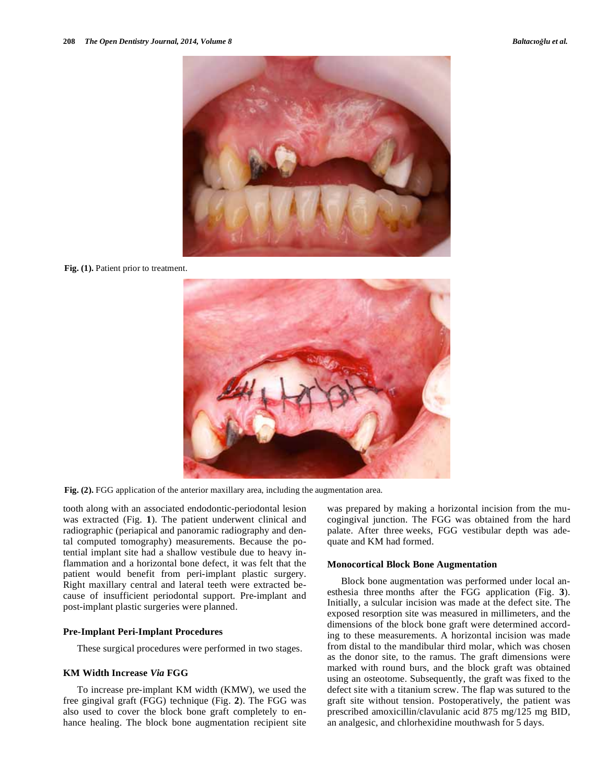

Fig. (1). Patient prior to treatment.



**Fig. (2).** FGG application of the anterior maxillary area, including the augmentation area.

tooth along with an associated endodontic-periodontal lesion was extracted (Fig. **1**). The patient underwent clinical and radiographic (periapical and panoramic radiography and dental computed tomography) measurements. Because the potential implant site had a shallow vestibule due to heavy inflammation and a horizontal bone defect, it was felt that the patient would benefit from peri-implant plastic surgery. Right maxillary central and lateral teeth were extracted because of insufficient periodontal support. Pre-implant and post-implant plastic surgeries were planned.

#### **Pre-Implant Peri-Implant Procedures**

These surgical procedures were performed in two stages.

#### **KM Width Increase** *Via* **FGG**

To increase pre-implant KM width (KMW), we used the free gingival graft (FGG) technique (Fig. **2**). The FGG was also used to cover the block bone graft completely to enhance healing. The block bone augmentation recipient site was prepared by making a horizontal incision from the mucogingival junction. The FGG was obtained from the hard palate. After three weeks, FGG vestibular depth was adequate and KM had formed.

#### **Monocortical Block Bone Augmentation**

Block bone augmentation was performed under local anesthesia three months after the FGG application (Fig. **3**). Initially, a sulcular incision was made at the defect site. The exposed resorption site was measured in millimeters, and the dimensions of the block bone graft were determined according to these measurements. A horizontal incision was made from distal to the mandibular third molar, which was chosen as the donor site, to the ramus. The graft dimensions were marked with round burs, and the block graft was obtained using an osteotome. Subsequently, the graft was fixed to the defect site with a titanium screw. The flap was sutured to the graft site without tension. Postoperatively, the patient was prescribed amoxicillin/clavulanic acid 875 mg/125 mg BID, an analgesic, and chlorhexidine mouthwash for 5 days.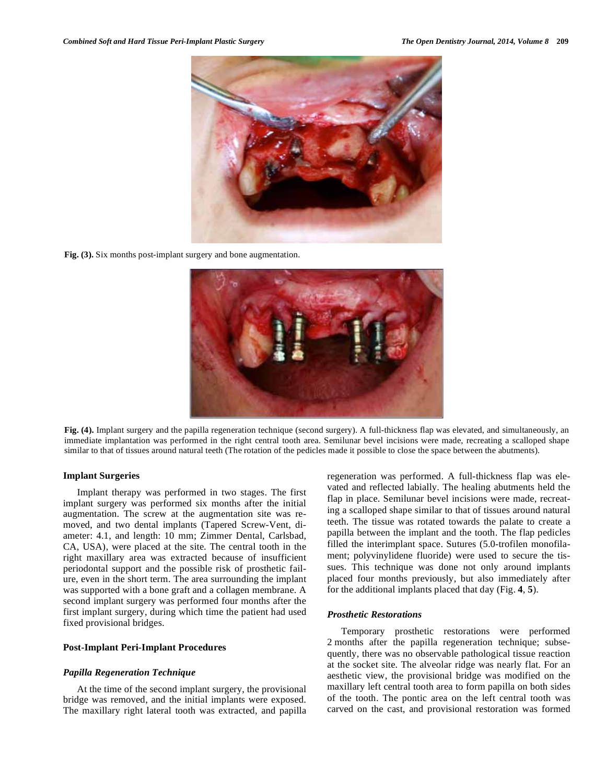

**Fig. (3).** Six months post-implant surgery and bone augmentation.



**Fig. (4).** Implant surgery and the papilla regeneration technique (second surgery). A full-thickness flap was elevated, and simultaneously, an immediate implantation was performed in the right central tooth area. Semilunar bevel incisions were made, recreating a scalloped shape similar to that of tissues around natural teeth (The rotation of the pedicles made it possible to close the space between the abutments).

#### **Implant Surgeries**

Implant therapy was performed in two stages. The first implant surgery was performed six months after the initial augmentation. The screw at the augmentation site was removed, and two dental implants (Tapered Screw-Vent, diameter: 4.1, and length: 10 mm; Zimmer Dental, Carlsbad, CA, USA), were placed at the site. The central tooth in the right maxillary area was extracted because of insufficient periodontal support and the possible risk of prosthetic failure, even in the short term. The area surrounding the implant was supported with a bone graft and a collagen membrane. A second implant surgery was performed four months after the first implant surgery, during which time the patient had used fixed provisional bridges.

### **Post-Implant Peri-Implant Procedures**

#### *Papilla Regeneration Technique*

At the time of the second implant surgery, the provisional bridge was removed, and the initial implants were exposed. The maxillary right lateral tooth was extracted, and papilla regeneration was performed. A full-thickness flap was elevated and reflected labially. The healing abutments held the flap in place. Semilunar bevel incisions were made, recreating a scalloped shape similar to that of tissues around natural teeth. The tissue was rotated towards the palate to create a papilla between the implant and the tooth. The flap pedicles filled the interimplant space. Sutures (5.0-trofilen monofilament; polyvinylidene fluoride) were used to secure the tissues. This technique was done not only around implants placed four months previously, but also immediately after for the additional implants placed that day (Fig. **4**, **5**).

#### *Prosthetic Restorations*

Temporary prosthetic restorations were performed 2 months after the papilla regeneration technique; subsequently, there was no observable pathological tissue reaction at the socket site. The alveolar ridge was nearly flat. For an aesthetic view, the provisional bridge was modified on the maxillary left central tooth area to form papilla on both sides of the tooth. The pontic area on the left central tooth was carved on the cast, and provisional restoration was formed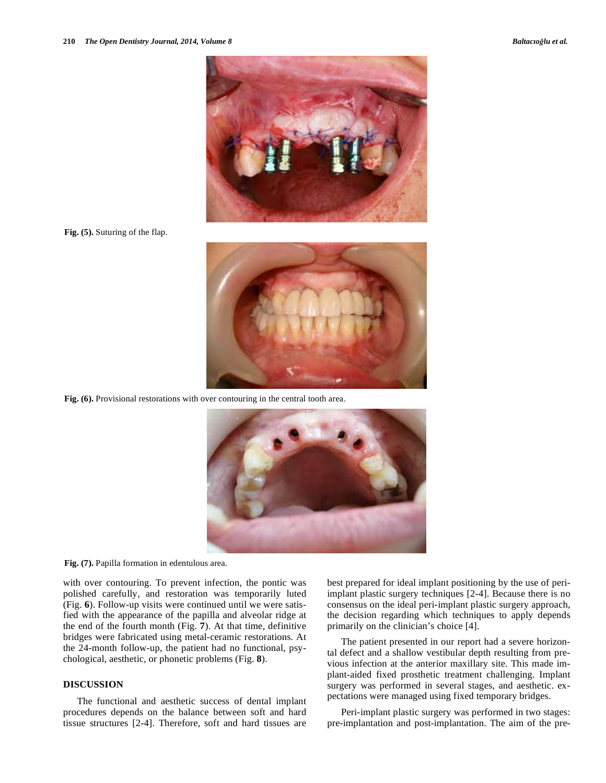

**Fig. (5).** Suturing of the flap.



**Fig. (6).** Provisional restorations with over contouring in the central tooth area.





with over contouring. To prevent infection, the pontic was polished carefully, and restoration was temporarily luted (Fig. **6**). Follow-up visits were continued until we were satisfied with the appearance of the papilla and alveolar ridge at the end of the fourth month (Fig. **7**). At that time, definitive bridges were fabricated using metal-ceramic restorations. At the 24-month follow-up, the patient had no functional, psychological, aesthetic, or phonetic problems (Fig. **8**).

## **DISCUSSION**

The functional and aesthetic success of dental implant procedures depends on the balance between soft and hard tissue structures [2-4]. Therefore, soft and hard tissues are

best prepared for ideal implant positioning by the use of periimplant plastic surgery techniques [2-4]. Because there is no consensus on the ideal peri-implant plastic surgery approach, the decision regarding which techniques to apply depends primarily on the clinician's choice [4].

The patient presented in our report had a severe horizontal defect and a shallow vestibular depth resulting from previous infection at the anterior maxillary site. This made implant-aided fixed prosthetic treatment challenging. Implant surgery was performed in several stages, and aesthetic. expectations were managed using fixed temporary bridges.

Peri-implant plastic surgery was performed in two stages: pre-implantation and post-implantation. The aim of the pre-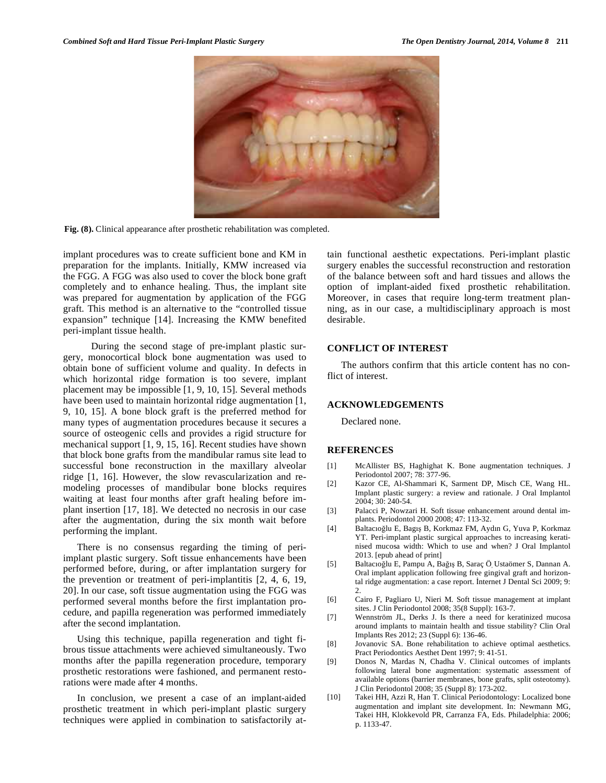

**Fig. (8).** Clinical appearance after prosthetic rehabilitation was completed.

implant procedures was to create sufficient bone and KM in preparation for the implants. Initially, KMW increased via the FGG. A FGG was also used to cover the block bone graft completely and to enhance healing. Thus, the implant site was prepared for augmentation by application of the FGG graft. This method is an alternative to the "controlled tissue expansion" technique [14]. Increasing the KMW benefited peri-implant tissue health.

 During the second stage of pre-implant plastic surgery, monocortical block bone augmentation was used to obtain bone of sufficient volume and quality. In defects in which horizontal ridge formation is too severe, implant placement may be impossible [1, 9, 10, 15]. Several methods have been used to maintain horizontal ridge augmentation [1, 9, 10, 15]. A bone block graft is the preferred method for many types of augmentation procedures because it secures a source of osteogenic cells and provides a rigid structure for mechanical support [1, 9, 15, 16]. Recent studies have shown that block bone grafts from the mandibular ramus site lead to successful bone reconstruction in the maxillary alveolar ridge [1, 16]. However, the slow revascularization and remodeling processes of mandibular bone blocks requires waiting at least four months after graft healing before implant insertion [17, 18]. We detected no necrosis in our case after the augmentation, during the six month wait before performing the implant.

There is no consensus regarding the timing of periimplant plastic surgery. Soft tissue enhancements have been performed before, during, or after implantation surgery for the prevention or treatment of peri-implantitis [2, 4, 6, 19, 20]. In our case, soft tissue augmentation using the FGG was performed several months before the first implantation procedure, and papilla regeneration was performed immediately after the second implantation.

Using this technique, papilla regeneration and tight fibrous tissue attachments were achieved simultaneously. Two months after the papilla regeneration procedure, temporary prosthetic restorations were fashioned, and permanent restorations were made after 4 months.

In conclusion, we present a case of an implant-aided prosthetic treatment in which peri-implant plastic surgery techniques were applied in combination to satisfactorily attain functional aesthetic expectations. Peri-implant plastic surgery enables the successful reconstruction and restoration of the balance between soft and hard tissues and allows the option of implant-aided fixed prosthetic rehabilitation. Moreover, in cases that require long-term treatment planning, as in our case, a multidisciplinary approach is most desirable.

## **CONFLICT OF INTEREST**

The authors confirm that this article content has no conflict of interest.

#### **ACKNOWLEDGEMENTS**

Declared none.

#### **REFERENCES**

- [1] McAllister BS, Haghighat K. Bone augmentation techniques. J Periodontol 2007; 78: 377-96.
- [2] Kazor CE, Al-Shammari K, Sarment DP, Misch CE, Wang HL. Implant plastic surgery: a review and rationale. J Oral Implantol 2004; 30: 240-54.
- [3] Palacci P, Nowzari H. Soft tissue enhancement around dental implants. Periodontol 2000 2008; 47: 113-32.
- [4] Baltacıoğlu E, Bagış B, Korkmaz FM, Aydın G, Yuva P, Korkmaz YT. Peri-implant plastic surgical approaches to increasing keratinised mucosa width: Which to use and when? J Oral Implantol 2013. [epub ahead of print]
- [5] Baltacıoğlu E, Pampu A, Bağış B, Saraç Ö, Ustaömer S, Dannan A. Oral implant application following free gingival graft and horizontal ridge augmentation: a case report. Internet J Dental Sci 2009; 9:  $\mathfrak{D}$
- [6] Cairo F, Pagliaro U, Nieri M. Soft tissue management at implant sites. J Clin Periodontol 2008; 35(8 Suppl): 163-7.
- [7] Wennström JL, Derks J. Is there a need for keratinized mucosa around implants to maintain health and tissue stability? Clin Oral Implants Res 2012; 23 (Suppl 6): 136-46.
- [8] Jovanovic SA. Bone rehabilitation to achieve optimal aesthetics. Pract Periodontics Aesthet Dent 1997; 9: 41-51.
- [9] Donos N, Mardas N, Chadha V. Clinical outcomes of implants following lateral bone augmentation: systematic assessment of available options (barrier membranes, bone grafts, split osteotomy). J Clin Periodontol 2008; 35 (Suppl 8): 173-202.
- [10] Takei HH, Azzi R, Han T. Clinical Periodontology: Localized bone augmentation and implant site development. In: Newmann MG, Takei HH, Klokkevold PR, Carranza FA, Eds. Philadelphia: 2006; p. 1133-47.